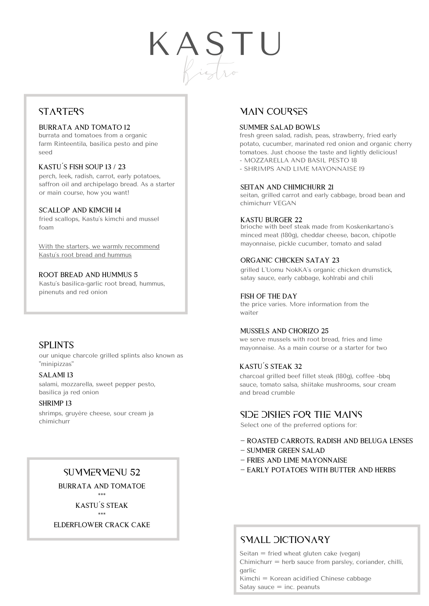# K A ST U Bistro

# **STARTERS**

#### BURRATA AND TOMATO 12

burrata and tomatoes from a organic farm Rinteentila, basilica pesto and pine seed

#### KASTU´S FISH SOUP 13 / 23

perch, leek, radish, carrot, early potatoes, saffron oil and archipelago bread. As a starter or main course, how you want!

#### SCALLOP AND KIMCHI 14

fried scallops, Kastu´s kimchi and mussel foam

With the starters, we warmly recommend Kastu´s root bread and hummus

#### ROOT BREAD AND HUMMUS 5

Kastu´s basilica-garlic root bread, hummus, pinenuts and red onion

# SPLINTS

our unique charcole grilled splints also known as "minipizzas"

#### SALAMI 13

salami, mozzarella, sweet pepper pesto, basilica ja red onion

#### SHRIMP 13

shrimps, gruyère cheese, sour cream ja chimichurr

# SUMMERMENU 52

BURRATA AND TOMATOE

\*\*\* KASTU´S STEAK \*\*\*

ELDERFLOWER CRACK CAKE

# MAIN COURSES

#### SUMMER SALAD BOWLS

fresh green salad, radish, peas, strawberry, fried early potato, cucumber, marinated red onion and organic cherry tomatoes. Just choose the taste and lightly delicious! - MOZZARELLA AND BASIL PESTO 18

- SHRIMPS AND LIME MAYONNAISE 19

#### SEITAN AND CHIMICHURR 21

seitan, grilled carrot and early cabbage, broad bean and chimichurr VEGAN

#### KASTU BURGER 22

brioche with beef steak [made](https://fi.bab.la/sanakirja/englanti-suomi/make) [from](https://fi.bab.la/sanakirja/englanti-suomi/from) Koskenkartano´s [minced](https://fi.bab.la/sanakirja/englanti-suomi/minced) [meat](https://fi.bab.la/sanakirja/englanti-suomi/meat) (180g), cheddar cheese, bacon, chipotle mayonnaise, pickle cucumber, tomato and salad

#### ORGANIC CHICKEN SATAY 23

grilled L`Uomu NokKA`s organic [chicken](https://www.suomisanakirja.fi/englanti/chicken) [drumstick,](https://www.suomisanakirja.fi/englanti/drumstick) satay sauce, early cabbage, kohlrabi and chili

#### FISH OF THE DAY

the price [varies.](https://fi.bab.la/sanakirja/englanti-suomi/dose) [More](https://fi.bab.la/sanakirja/englanti-suomi/more) [information](https://fi.bab.la/sanakirja/englanti-suomi/information) [from](https://fi.bab.la/sanakirja/englanti-suomi/from) [the](https://fi.bab.la/sanakirja/englanti-suomi/the) [waiter](https://fi.bab.la/sanakirja/englanti-suomi/waiter)

#### MUSSELS AND CHORIZO 25

we serve mussels with root bread, fries and lime mayonnaise. As a main course or a starter for two

#### KASTU´S STEAK 32

charcoal grilled beef fillet steak (180g), coffee -bbq sauce, tomato salsa, shiitake mushrooms, sour cream and bread crumble

# side dishes for the mains

Select one of the preferred options for:

- ROASTED CARROTS, RADISH AND BELUGA LENSES
- SUMMER GREEN SALAD
- FRIES AND LIME MAYONNAISE
- EARLY POTATOES WITH BUTTER AND HERBS

# SMALL DICTIONARY

Seitan = fried wheat gluten cake (vegan) Chimichurr = herb sauce from parsley, coriander, chilli, garlic Kimchi = Korean acidified Chinese cabbage Satay sauce  $=$  inc. peanuts